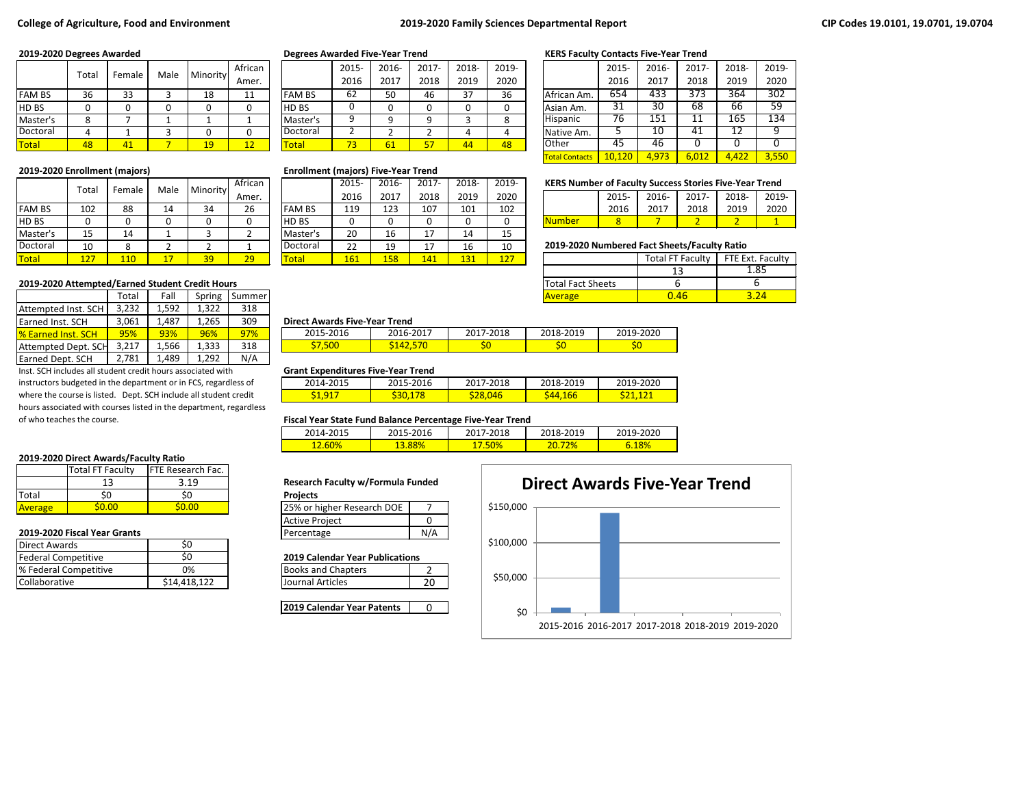# **College of Agriculture, Food and Environment 2019-2020 Family Sciences Departmental Report**

|               | Total |         | Male | Minority | African              |               | 2015-                    | 2016-        | 2017- | 2018- | 2019- |              | 2015 | 2016-            | 2017- | 2018- | 2019 |
|---------------|-------|---------|------|----------|----------------------|---------------|--------------------------|--------------|-------|-------|-------|--------------|------|------------------|-------|-------|------|
|               |       | Female  |      |          | Amer.                |               | 2016                     | 2017         | 2018  | 2019  | 2020  |              | 2016 | 2017             | 2018  | 2019  | 2020 |
| <b>FAM BS</b> | 36    | 33      |      | 10<br>⊥໐ | 11<br><b>. .</b>     | <b>FAM BS</b> | 62                       | 50           | 46    | 27    | 36    | African Am.  | 654  | $\overline{433}$ | 373   | 364   | 302  |
| HD BS         |       |         |      |          |                      | <b>HD BS</b>  |                          |              |       |       |       | Asian Am.    | 31   | $\overline{30}$  | 68    | 66    | 59   |
| Master's      |       |         |      |          |                      | Master's      |                          |              |       |       | o     | Hispanic     |      | 151              | . .   | 165   | 134  |
| Doctoral      |       |         |      |          |                      | Doctoral      |                          | L            |       |       |       | Native Am.   |      | 10               | 41    | ∸∸    |      |
| Total         | 48    | 71<br>4 |      | 10<br>-- | $\overline{1}$<br>-- | <b>Total</b>  | $\overline{\phantom{a}}$ | $\mathbf{b}$ |       | 44    | 48    | <b>Other</b> | 45   | -46              |       |       |      |

|               | Total |        | Male | Minority | African |               | 2015- | 2016- | $2017 -$       | 2018- | 2019- | <b>KERS Number of Faculty Success Stories Five-Year Trend</b> |      |       |                         |                  |      |
|---------------|-------|--------|------|----------|---------|---------------|-------|-------|----------------|-------|-------|---------------------------------------------------------------|------|-------|-------------------------|------------------|------|
|               |       | Female |      |          | Amer.   |               | 2016  | 2017  | 2018           | 2019  | 2020  |                                                               | 2015 | 2016- | 2017-                   | 2018-            | 2019 |
| <b>FAM BS</b> | 102   | 88     | 14   | 34       | 26      | <b>FAM BS</b> | 119   | 123   | 107            | 101   | 102   |                                                               | 2016 | 2017  | 2018                    | 2019             | 2020 |
| <b>HDBS</b>   |       |        |      |          |         | <b>HDBS</b>   |       |       | 0              |       |       | <u>Number</u>                                                 |      |       | ∼                       |                  |      |
| Master's      | 15    | 14     |      |          |         | Master's      | 20    | 16    | 17<br><b>.</b> | 14    | 15    |                                                               |      |       |                         |                  |      |
| Doctoral      | 10    |        |      |          |         | Doctoral      | 22    | 19    | 17<br>. .      | 16    | 10    | 2019-2020 Numbered Fact Sheets/Faculty Ratio                  |      |       |                         |                  |      |
| <b>Total</b>  | 127   | 110    |      | 39       | 29      | <b>Total</b>  | 161   | 158   | 141            | 131   | 127   |                                                               |      |       | <b>Total FT Faculty</b> | FTE Ext. Faculty |      |

### **2019-2020 Attempted/Earned Student Credit Hours**

|                            | Total | Fall   | Spring | Summer |                                      |           |           | Average   |  |  |
|----------------------------|-------|--------|--------|--------|--------------------------------------|-----------|-----------|-----------|--|--|
| Attempted Inst. SCH        | 3.232 | 1,592  | 322ء   | 318    |                                      |           |           |           |  |  |
| <b>Earned Inst. SCH</b>    | 3,061 | 1,487  | 265.ء  | 309    | <b>Direct Awards Five-Year Trend</b> |           |           |           |  |  |
| <b>1% Earned Inst. SCH</b> | 95%   | 93%    | 96%    | 97%    | 2015-2016                            | 2016-2017 | 2017-2018 | 2018-201  |  |  |
| Attempted Dept. SCH        | 3.217 | 566, 1 | 1.333  | 318    | \$7.500                              | \$142.570 | S0        | <b>SO</b> |  |  |
| Earned Dept. SCH           | 2,781 | 489. د | 1.292  | N/A    |                                      |           |           |           |  |  |

Inst. SCH includes all student credit hours associated with instructors budgeted in the department or in FCS, regardless of where the course is listed. Dept. SCH include all student credit hours associated with courses listed in the department, regardless of who teaches the course.

### **2019-2020 Direct Awards/Faculty Ratio**

|                | Total FT Faculty | <b>IFTE Research Fac. I</b> |                                         |  |
|----------------|------------------|-----------------------------|-----------------------------------------|--|
|                |                  | 3.19                        | <b>Research Faculty w/Formula Funde</b> |  |
| <b>Total</b>   |                  |                             | <b>Projects</b>                         |  |
| <b>Average</b> | .000             | 60.OO                       | 25% or higher Research DOE              |  |

# **2019-2020 Fiscal Year Grants**

|                       |              |                                        | .  |
|-----------------------|--------------|----------------------------------------|----|
| Direct Awards         |              |                                        |    |
| Federal Competitive   |              | <b>2019 Calendar Year Publications</b> |    |
| % Federal Competitive | 0%           | <b>Books and Chapters</b>              |    |
| <b>Collaborative</b>  | \$14.418.122 | Journal Articles                       | 20 |
|                       |              |                                        |    |

|               | 2015- | 2016- | 2017- | 2018- | 2019- |
|---------------|-------|-------|-------|-------|-------|
|               | 2016  | 2017  | 2018  | 2019  | 2020  |
| <b>FAM BS</b> | 62    | 50    | 46    | 37    | 36    |
| HD BS         |       |       |       |       | 0     |
| Master's      | ٩     |       |       | 3     | 8     |
| Doctoral      | 2     |       |       |       |       |
| Total         | 73    | 61    | 57    | 44    | 48    |

# **2019-2020 Enrollment (majors) Enrollment (majors) Five-Year Trend**

|               | 2015- | 2016- | 2017- | 2018- | 2019- |
|---------------|-------|-------|-------|-------|-------|
|               | 2016  | 2017  | 2018  | 2019  | 2020  |
| <b>FAM BS</b> | 119   | 123   | 107   | 101   | 102   |
| HD BS         | 0     | 0     | 0     |       |       |
| Master's      | 20    | 16    | 17    | 14    | 15    |
| Doctoral      | 22    | 19    | 17    | 16    | 10    |
| Total         | 161   | 158   | 141   | 131   | 127   |

### **2019-2020 Degrees Awarded Degrees Awarded Five-Year Trend KERS Faculty Contacts Five-Year Trend**

|                       | 2015-  | 2016- | 2017- | 2018- | 2019- |
|-----------------------|--------|-------|-------|-------|-------|
|                       | 2016   | 2017  | 2018  | 2019  | 2020  |
| African Am.           | 654    | 433   | 373   | 364   | 302   |
| Asian Am.             | 31     | 30    | 68    | 66    | 59    |
| Hispanic              | 76     | 151   | 11    | 165   | 134   |
| Native Am.            | 5      | 10    | 41    | 12    | q     |
| Other                 | 45     | 46    | O     | O     |       |
| <b>Total Contacts</b> | 10.120 | 4.973 | 6,012 | 4.422 | 3,550 |

# **KERS Number of Faculty Success Stories Five-Year Trend**

|               | $2015 -$ | 2016- | 2017- 2018- |      | 2019- |
|---------------|----------|-------|-------------|------|-------|
|               | 2016     | 2017  | 2018        | 2019 | 2020  |
| <b>Number</b> |          |       |             |      |       |

### **2019-2020 Numbered Fact Sheets/Faculty Ratio**

|                          | <b>Total FT Faculty</b> | FTE Ext. Faculty |  |  |
|--------------------------|-------------------------|------------------|--|--|
|                          |                         | 1.85             |  |  |
| <b>Total Fact Sheets</b> |                         |                  |  |  |
| <b>Average</b>           | በ 46                    |                  |  |  |

#### 3,061 1,487 1,265 309 **Direct Awards Five-Year Trend**

| 2015-2016 | 2016-2017 | 2017-2018 | 2018-2019 | 2019-2020 |
|-----------|-----------|-----------|-----------|-----------|
| .5UU      |           |           |           | ຸວບ       |

#### **Grant Expenditures Five-Year Trend**

| _ _ _ _ _ _ _ _ _ _ _ _ |               |           |           |           |
|-------------------------|---------------|-----------|-----------|-----------|
| 2014-2015               | 2015-2016     | 2017-2018 | 2018-2019 | 2019-2020 |
| $\mathsf{a}$            | <u>JJV, L</u> | $-28.046$ | ΛЛ<br>.bt |           |

#### **Fiscal Year State Fund Balance Percentage Five-Year Trend**

| 2014-2015 | 2015-2016     | 2017-2018 | 2018-2019 | 2019-2020 |
|-----------|---------------|-----------|-----------|-----------|
| 12.60%    | <b>13.88%</b> | 17.50%    | 2%        | 6.18%     |

#### **Research Faculty w/Formula Funded**

| 25% or higher Research DOE |  |
|----------------------------|--|
| <b>Active Project</b>      |  |
| Percentage                 |  |

#### **2019 Calendar Year Publications**

| <b>Books and Chapters</b> |  |
|---------------------------|--|
| <b>Journal Articles</b>   |  |

**2019 Calendar Year Patents** | 0